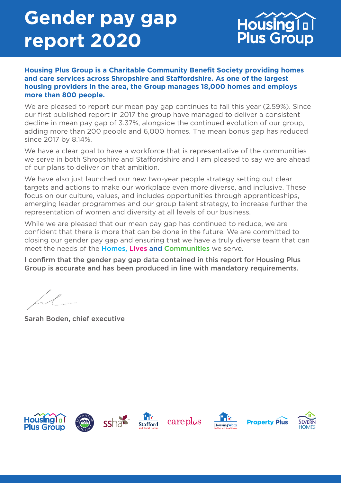# **Gender pay gap report 2020**



#### **Housing Plus Group is a Charitable Community Benefit Society providing homes and care services across Shropshire and Staffordshire. As one of the largest housing providers in the area, the Group manages 18,000 homes and employs more than 800 people.**

We are pleased to report our mean pay gap continues to fall this year (2.59%). Since our first published report in 2017 the group have managed to deliver a consistent decline in mean pay gap of 3.37%, alongside the continued evolution of our group, adding more than 200 people and 6,000 homes. The mean bonus gap has reduced since 2017 by 8.14%.

We have a clear goal to have a workforce that is representative of the communities we serve in both Shropshire and Staffordshire and I am pleased to say we are ahead of our plans to deliver on that ambition.

We have also just launched our new two-year people strategy setting out clear targets and actions to make our workplace even more diverse, and inclusive. These focus on our culture, values, and includes opportunities through apprenticeships, emerging leader programmes and our group talent strategy, to increase further the representation of women and diversity at all levels of our business.

While we are pleased that our mean pay gap has continued to reduce, we are confident that there is more that can be done in the future. We are committed to closing our gender pay gap and ensuring that we have a truly diverse team that can meet the needs of the **Homes. Lives and Communities** we serve.

I confirm that the gender pay gap data contained in this report for Housing Plus Group is accurate and has been produced in line with mandatory requirements.

Sarah Boden, chief executive

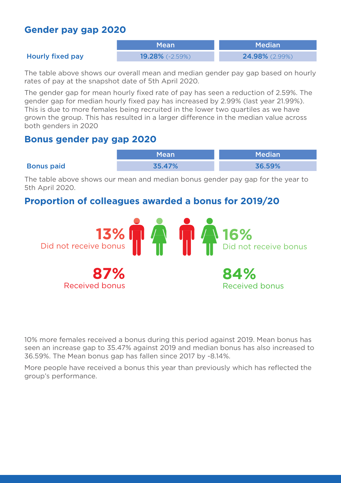## **Gender pay gap 2020**

Mean Median

#### Hourly fixed pay 19.28% (-2.59%) 24.98% (2.99%)

The table above shows our overall mean and median gender pay gap based on hourly rates of pay at the snapshot date of 5th April 2020.

The gender gap for mean hourly fixed rate of pay has seen a reduction of 2.59%. The gender gap for median hourly fixed pay has increased by 2.99% (last year 21.99%). This is due to more females being recruited in the lower two quartiles as we have grown the group. This has resulted in a larger difference in the median value across both genders in 2020

### **Bonus gender pay gap 2020**

|                   | Mean   | <b>Median</b> |
|-------------------|--------|---------------|
| <b>Bonus paid</b> | 35.47% | 36.59%        |

The table above shows our mean and median bonus gender pay gap for the year to 5th April 2020.

## **Proportion of colleagues awarded a bonus for 2019/20**



10% more females received a bonus during this period against 2019. Mean bonus has seen an increase gap to 35.47% against 2019 and median bonus has also increased to 36.59%. The Mean bonus gap has fallen since 2017 by -8.14%.

More people have received a bonus this year than previously which has reflected the group's performance.